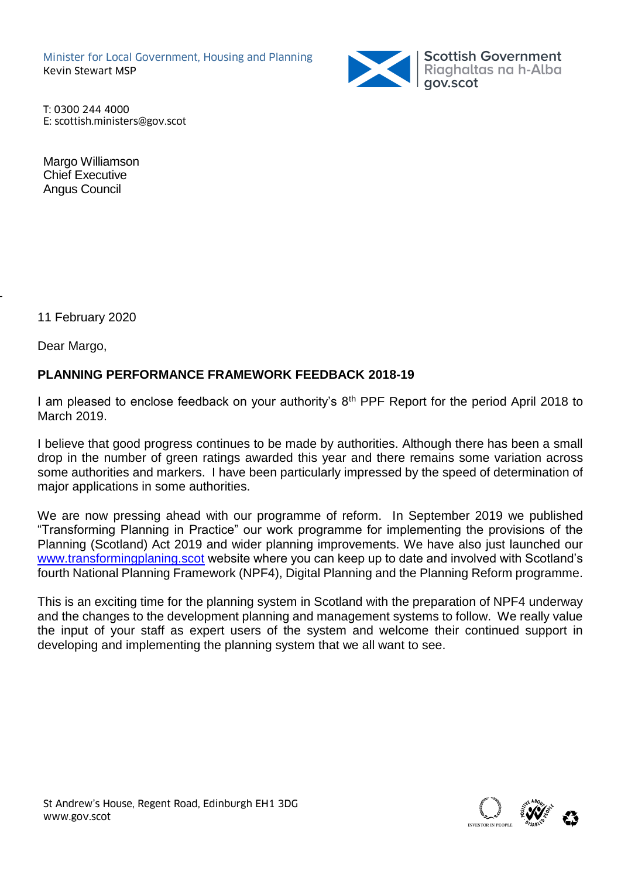Minister for Local Government, Housing and Planning Kevin Stewart MSP



T: 0300 244 4000 E: scottish.ministers@gov.scot

Margo Williamson Chief Executive Angus Council

11 February 2020

Dear Margo,

 $\overline{\phantom{a}}$ 

# **PLANNING PERFORMANCE FRAMEWORK FEEDBACK 2018-19**

I am pleased to enclose feedback on your authority's 8<sup>th</sup> PPF Report for the period April 2018 to March 2019.

I believe that good progress continues to be made by authorities. Although there has been a small drop in the number of green ratings awarded this year and there remains some variation across some authorities and markers. I have been particularly impressed by the speed of determination of major applications in some authorities.

We are now pressing ahead with our programme of reform. In September 2019 we published "Transforming Planning in Practice" our work programme for implementing the provisions of the Planning (Scotland) Act 2019 and wider planning improvements. We have also just launched our [www.transformingplaning.scot](http://www.transformingplaning.scot/) website where you can keep up to date and involved with Scotland's fourth National Planning Framework (NPF4), Digital Planning and the Planning Reform programme.

This is an exciting time for the planning system in Scotland with the preparation of NPF4 underway and the changes to the development planning and management systems to follow. We really value the input of your staff as expert users of the system and welcome their continued support in developing and implementing the planning system that we all want to see.

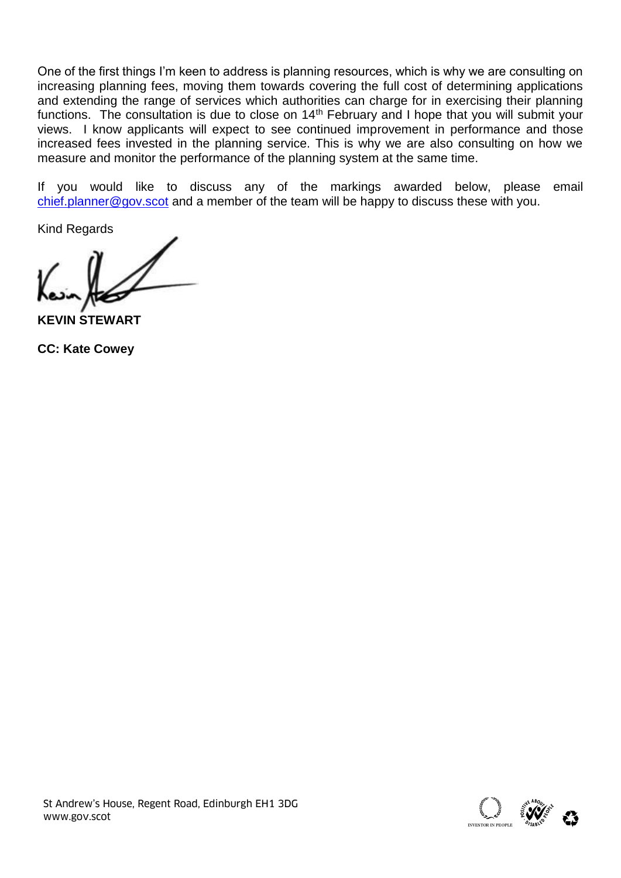One of the first things I'm keen to address is planning resources, which is why we are consulting on increasing planning fees, moving them towards covering the full cost of determining applications and extending the range of services which authorities can charge for in exercising their planning functions. The consultation is due to close on 14<sup>th</sup> February and I hope that you will submit your views. I know applicants will expect to see continued improvement in performance and those increased fees invested in the planning service. This is why we are also consulting on how we measure and monitor the performance of the planning system at the same time.

If you would like to discuss any of the markings awarded below, please email [chief.planner@gov.scot](mailto:chief.planner@gov.scot) and a member of the team will be happy to discuss these with you.

Kind Regards

**KEVIN STEWART**

**CC: Kate Cowey**



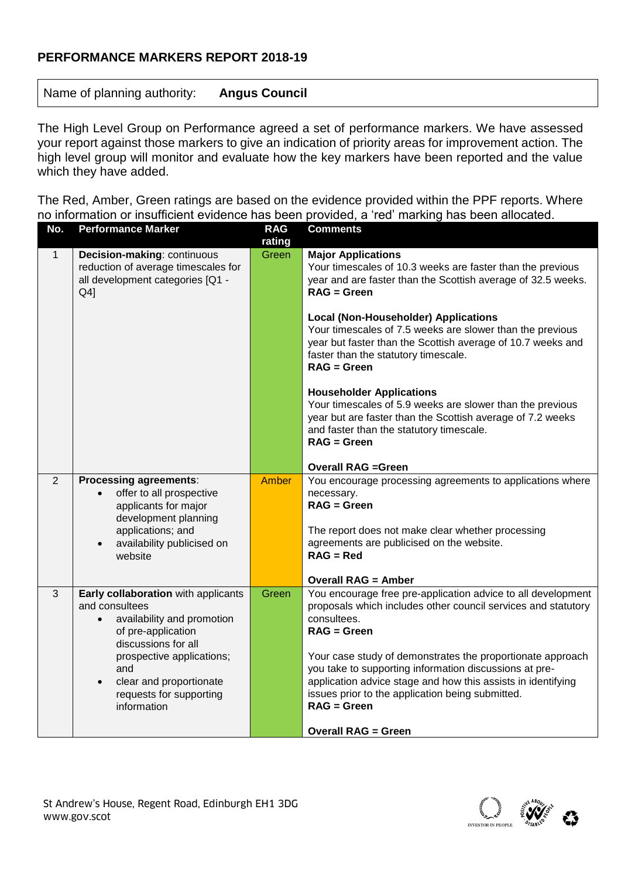## **PERFORMANCE MARKERS REPORT 2018-19**

Name of planning authority: **Angus Council**

The High Level Group on Performance agreed a set of performance markers. We have assessed your report against those markers to give an indication of priority areas for improvement action. The high level group will monitor and evaluate how the key markers have been reported and the value which they have added.

The Red, Amber, Green ratings are based on the evidence provided within the PPF reports. Where no information or insufficient evidence has been provided, a 'red' marking has been allocated.

| No.            | <b>Performance Marker</b>                                                                                                                                                                                                                                           | <b>RAG</b><br>rating | <b>Comments</b>                                                                                                                                                                                                                                                                                                                                                                                                                                                                                                                                                                                                                              |
|----------------|---------------------------------------------------------------------------------------------------------------------------------------------------------------------------------------------------------------------------------------------------------------------|----------------------|----------------------------------------------------------------------------------------------------------------------------------------------------------------------------------------------------------------------------------------------------------------------------------------------------------------------------------------------------------------------------------------------------------------------------------------------------------------------------------------------------------------------------------------------------------------------------------------------------------------------------------------------|
| $\mathbf{1}$   | Decision-making: continuous<br>reduction of average timescales for<br>all development categories [Q1 -<br>$Q4$ ]                                                                                                                                                    | Green                | <b>Major Applications</b><br>Your timescales of 10.3 weeks are faster than the previous<br>year and are faster than the Scottish average of 32.5 weeks.<br>$RAG = Green$<br><b>Local (Non-Householder) Applications</b><br>Your timescales of 7.5 weeks are slower than the previous<br>year but faster than the Scottish average of 10.7 weeks and<br>faster than the statutory timescale.<br><b>RAG = Green</b><br><b>Householder Applications</b><br>Your timescales of 5.9 weeks are slower than the previous<br>year but are faster than the Scottish average of 7.2 weeks<br>and faster than the statutory timescale.<br>$RAG = Green$ |
| $\overline{2}$ | <b>Processing agreements:</b><br>offer to all prospective<br>$\bullet$<br>applicants for major<br>development planning<br>applications; and<br>availability publicised on<br>$\bullet$<br>website                                                                   | Amber                | <b>Overall RAG =Green</b><br>You encourage processing agreements to applications where<br>necessary.<br><b>RAG = Green</b><br>The report does not make clear whether processing<br>agreements are publicised on the website.<br>$RAG = Red$<br><b>Overall RAG = Amber</b>                                                                                                                                                                                                                                                                                                                                                                    |
| 3              | Early collaboration with applicants<br>and consultees<br>availability and promotion<br>$\bullet$<br>of pre-application<br>discussions for all<br>prospective applications;<br>and<br>clear and proportionate<br>$\bullet$<br>requests for supporting<br>information | Green                | You encourage free pre-application advice to all development<br>proposals which includes other council services and statutory<br>consultees.<br>$RAG = Green$<br>Your case study of demonstrates the proportionate approach<br>you take to supporting information discussions at pre-<br>application advice stage and how this assists in identifying<br>issues prior to the application being submitted.<br><b>RAG = Green</b><br><b>Overall RAG = Green</b>                                                                                                                                                                                |

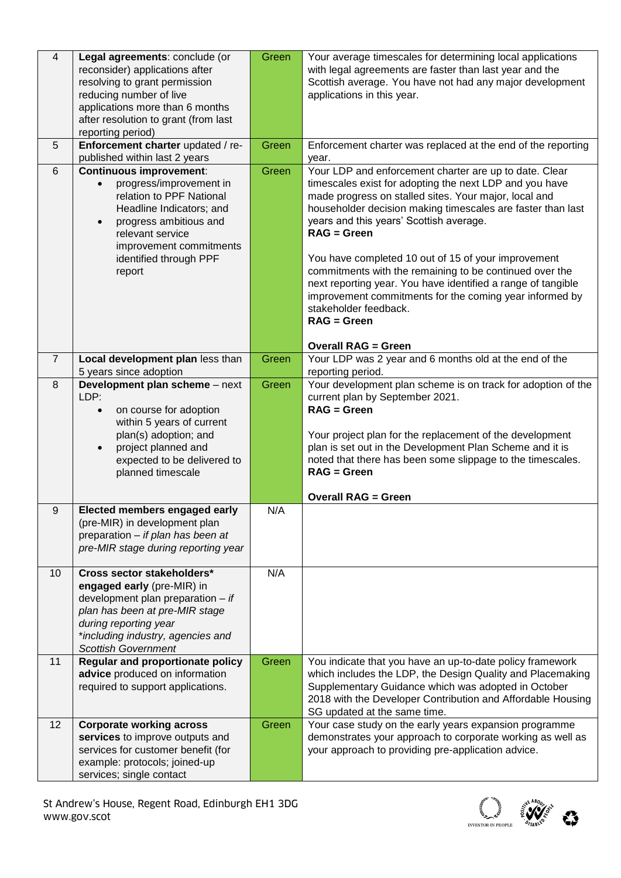| $\overline{4}$ | Legal agreements: conclude (or<br>reconsider) applications after<br>resolving to grant permission<br>reducing number of live<br>applications more than 6 months<br>after resolution to grant (from last<br>reporting period)                             | Green | Your average timescales for determining local applications<br>with legal agreements are faster than last year and the<br>Scottish average. You have not had any major development<br>applications in this year.                                                                                                                                                                                                                                                                                                                                                                                                            |
|----------------|----------------------------------------------------------------------------------------------------------------------------------------------------------------------------------------------------------------------------------------------------------|-------|----------------------------------------------------------------------------------------------------------------------------------------------------------------------------------------------------------------------------------------------------------------------------------------------------------------------------------------------------------------------------------------------------------------------------------------------------------------------------------------------------------------------------------------------------------------------------------------------------------------------------|
| 5              | Enforcement charter updated / re-<br>published within last 2 years                                                                                                                                                                                       | Green | Enforcement charter was replaced at the end of the reporting<br>year.                                                                                                                                                                                                                                                                                                                                                                                                                                                                                                                                                      |
| 6              | <b>Continuous improvement:</b><br>progress/improvement in<br>$\bullet$<br>relation to PPF National<br>Headline Indicators; and<br>progress ambitious and<br>$\bullet$<br>relevant service<br>improvement commitments<br>identified through PPF<br>report | Green | Your LDP and enforcement charter are up to date. Clear<br>timescales exist for adopting the next LDP and you have<br>made progress on stalled sites. Your major, local and<br>householder decision making timescales are faster than last<br>years and this years' Scottish average.<br>$RAG = Green$<br>You have completed 10 out of 15 of your improvement<br>commitments with the remaining to be continued over the<br>next reporting year. You have identified a range of tangible<br>improvement commitments for the coming year informed by<br>stakeholder feedback.<br>$RAG = Green$<br><b>Overall RAG = Green</b> |
| $\overline{7}$ | Local development plan less than                                                                                                                                                                                                                         | Green | Your LDP was 2 year and 6 months old at the end of the                                                                                                                                                                                                                                                                                                                                                                                                                                                                                                                                                                     |
| 8              | 5 years since adoption<br>Development plan scheme - next<br>LDP:<br>on course for adoption<br>$\bullet$<br>within 5 years of current<br>plan(s) adoption; and<br>project planned and<br>$\bullet$<br>expected to be delivered to<br>planned timescale    | Green | reporting period.<br>Your development plan scheme is on track for adoption of the<br>current plan by September 2021.<br>$RAG = Green$<br>Your project plan for the replacement of the development<br>plan is set out in the Development Plan Scheme and it is<br>noted that there has been some slippage to the timescales.<br>$RAG = Green$<br><b>Overall RAG = Green</b>                                                                                                                                                                                                                                                 |
| 9              | Elected members engaged early<br>(pre-MIR) in development plan<br>preparation - if plan has been at<br>pre-MIR stage during reporting year                                                                                                               | N/A   |                                                                                                                                                                                                                                                                                                                                                                                                                                                                                                                                                                                                                            |
| 10             | Cross sector stakeholders*<br>engaged early (pre-MIR) in<br>development plan preparation $-$ if<br>plan has been at pre-MIR stage<br>during reporting year<br>*including industry, agencies and<br><b>Scottish Government</b>                            | N/A   |                                                                                                                                                                                                                                                                                                                                                                                                                                                                                                                                                                                                                            |
| 11             | <b>Regular and proportionate policy</b><br>advice produced on information<br>required to support applications.                                                                                                                                           | Green | You indicate that you have an up-to-date policy framework<br>which includes the LDP, the Design Quality and Placemaking<br>Supplementary Guidance which was adopted in October<br>2018 with the Developer Contribution and Affordable Housing<br>SG updated at the same time.                                                                                                                                                                                                                                                                                                                                              |
| 12             | <b>Corporate working across</b><br>services to improve outputs and<br>services for customer benefit (for<br>example: protocols; joined-up<br>services; single contact                                                                                    | Green | Your case study on the early years expansion programme<br>demonstrates your approach to corporate working as well as<br>your approach to providing pre-application advice.                                                                                                                                                                                                                                                                                                                                                                                                                                                 |

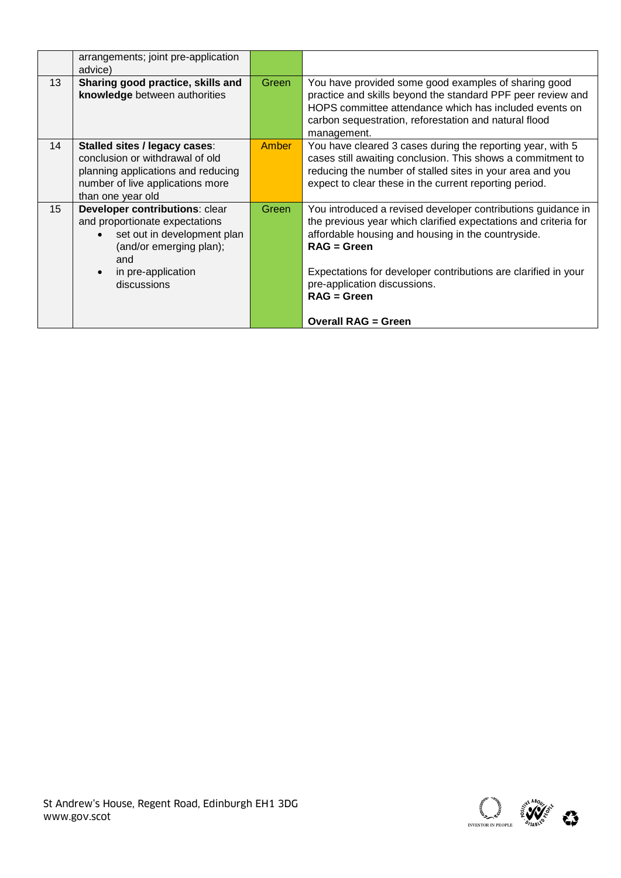|                 | arrangements; joint pre-application<br>advice)                                                                                                                                |              |                                                                                                                                                                                                                                                                                                                           |
|-----------------|-------------------------------------------------------------------------------------------------------------------------------------------------------------------------------|--------------|---------------------------------------------------------------------------------------------------------------------------------------------------------------------------------------------------------------------------------------------------------------------------------------------------------------------------|
| 13              | Sharing good practice, skills and<br>knowledge between authorities                                                                                                            | Green        | You have provided some good examples of sharing good<br>practice and skills beyond the standard PPF peer review and<br>HOPS committee attendance which has included events on<br>carbon sequestration, reforestation and natural flood<br>management.                                                                     |
| 14              | Stalled sites / legacy cases:<br>conclusion or withdrawal of old<br>planning applications and reducing<br>number of live applications more<br>than one year old               | <b>Amber</b> | You have cleared 3 cases during the reporting year, with 5<br>cases still awaiting conclusion. This shows a commitment to<br>reducing the number of stalled sites in your area and you<br>expect to clear these in the current reporting period.                                                                          |
| 15 <sub>2</sub> | <b>Developer contributions: clear</b><br>and proportionate expectations<br>set out in development plan<br>(and/or emerging plan);<br>and<br>in pre-application<br>discussions | Green        | You introduced a revised developer contributions guidance in<br>the previous year which clarified expectations and criteria for<br>affordable housing and housing in the countryside.<br>$RAG = Green$<br>Expectations for developer contributions are clarified in your<br>pre-application discussions.<br>$RAG = Green$ |
|                 |                                                                                                                                                                               |              | <b>Overall RAG = Green</b>                                                                                                                                                                                                                                                                                                |